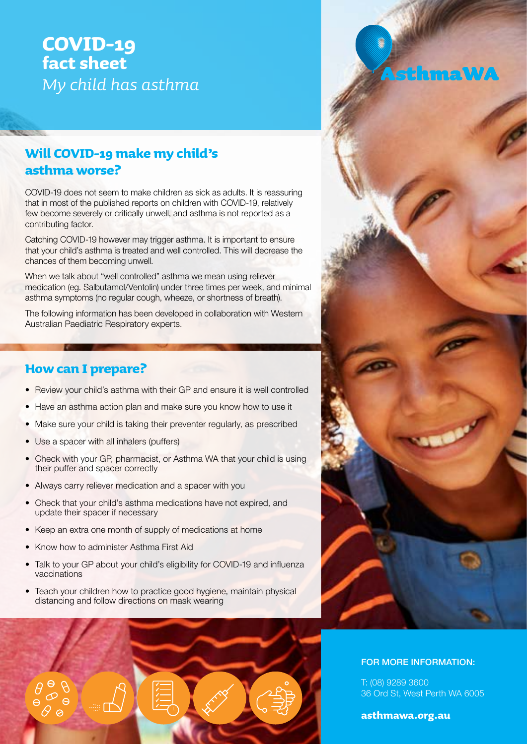# **COVID-19 fact sheet** *My child has asthma*

# **Will COVID-19 make my child's asthma worse?**

COVID-19 does not seem to make children as sick as adults. It is reassuring that in most of the published reports on children with COVID-19, relatively few become severely or critically unwell, and asthma is not reported as a contributing factor.

Catching COVID-19 however may trigger asthma. It is important to ensure that your child's asthma is treated and well controlled. This will decrease the chances of them becoming unwell.

When we talk about "well controlled" asthma we mean using reliever medication (eg. Salbutamol/Ventolin) under three times per week, and minimal asthma symptoms (no regular cough, wheeze, or shortness of breath).

The following information has been developed in collaboration with Western Australian Paediatric Respiratory experts.

### **How can I prepare?**

- Review your child's asthma with their GP and ensure it is well controlled
- Have an asthma action plan and make sure you know how to use it
- Make sure your child is taking their preventer regularly, as prescribed
- Use a spacer with all inhalers (puffers)
- Check with your GP, pharmacist, or Asthma WA that your child is using their puffer and spacer correctly
- Always carry reliever medication and a spacer with you
- Check that your child's asthma medications have not expired, and update their spacer if necessary
- Keep an extra one month of supply of medications at home
- Know how to administer Asthma First Aid
- Talk to your GP about your child's eligibility for COVID-19 and influenza vaccinations
- Teach your children how to practice good hygiene, maintain physical distancing and follow directions on mask wearing





#### FOR MORE INFORMATION:

T: (08) 9289 3600 36 Ord St, West Perth WA 6005

#### **asthmawa.org.au**